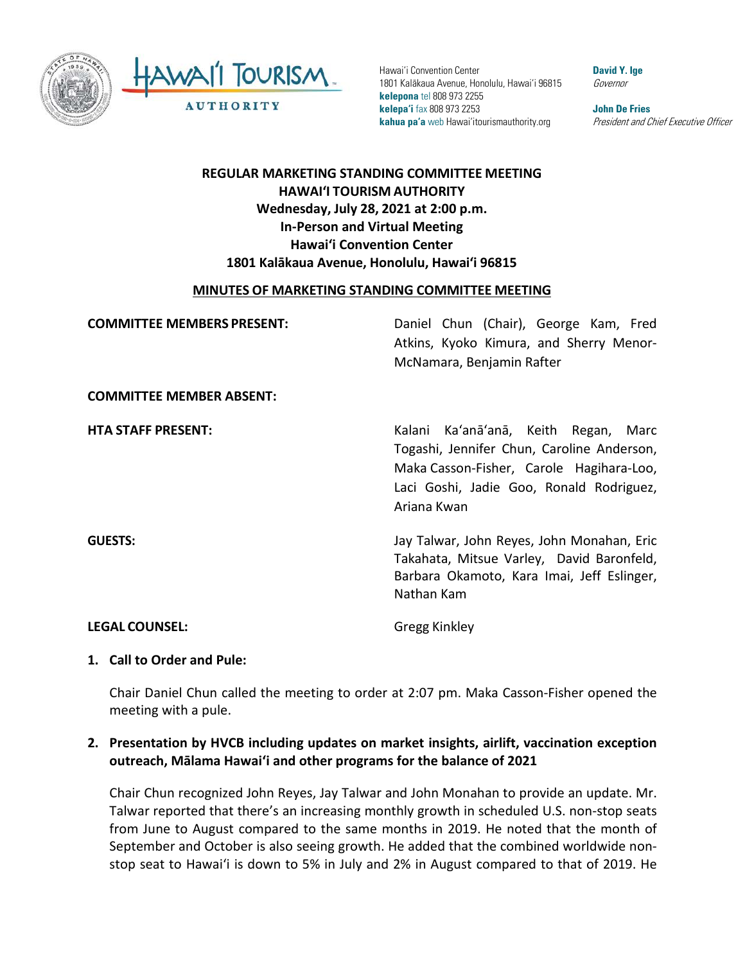



Hawai'i Convention Center 1801 Kalākaua Avenue, Honolulu, Hawai'i 96815 **kelepona** tel 808 973 2255 **kelepa'i** fax 808 973 2253 **kahua pa'a** web Hawai'itourismauthority.org

**David Y. Ige** Governor

**John De Fries** President and Chief Executive Officer

# **REGULAR MARKETING STANDING COMMITTEE MEETING HAWAI'I TOURISM AUTHORITY Wednesday, July 28, 2021 at 2:00 p.m. In-Person and Virtual Meeting Hawaiʻi Convention Center 1801 Kalākaua Avenue, Honolulu, Hawaiʻi 96815**

#### **MINUTES OF MARKETING STANDING COMMITTEE MEETING**

| <b>COMMITTEE MEMBERS PRESENT:</b> | Daniel Chun (Chair), George Kam, Fred<br>Atkins, Kyoko Kimura, and Sherry Menor-<br>McNamara, Benjamin Rafter                                                                             |
|-----------------------------------|-------------------------------------------------------------------------------------------------------------------------------------------------------------------------------------------|
| <b>COMMITTEE MEMBER ABSENT:</b>   |                                                                                                                                                                                           |
| <b>HTA STAFF PRESENT:</b>         | Kalani Ka'anā'anā, Keith Regan, Marc<br>Togashi, Jennifer Chun, Caroline Anderson,<br>Maka Casson-Fisher, Carole Hagihara-Loo,<br>Laci Goshi, Jadie Goo, Ronald Rodriguez,<br>Ariana Kwan |
| <b>GUESTS:</b>                    | Jay Talwar, John Reyes, John Monahan, Eric<br>Takahata, Mitsue Varley, David Baronfeld,<br>Barbara Okamoto, Kara Imai, Jeff Eslinger,<br>Nathan Kam                                       |
| <b>LEGAL COUNSEL:</b>             | Gregg Kinkley                                                                                                                                                                             |

#### **1. Call to Order and Pule:**

Chair Daniel Chun called the meeting to order at 2:07 pm. Maka Casson-Fisher opened the meeting with a pule.

### **2. Presentation by HVCB including updates on market insights, airlift, vaccination exception outreach, Mālama Hawai'i and other programs for the balance of 2021**

Chair Chun recognized John Reyes, Jay Talwar and John Monahan to provide an update. Mr. Talwar reported that there's an increasing monthly growth in scheduled U.S. non-stop seats from June to August compared to the same months in 2019. He noted that the month of September and October is also seeing growth. He added that the combined worldwide nonstop seat to Hawaiʻi is down to 5% in July and 2% in August compared to that of 2019. He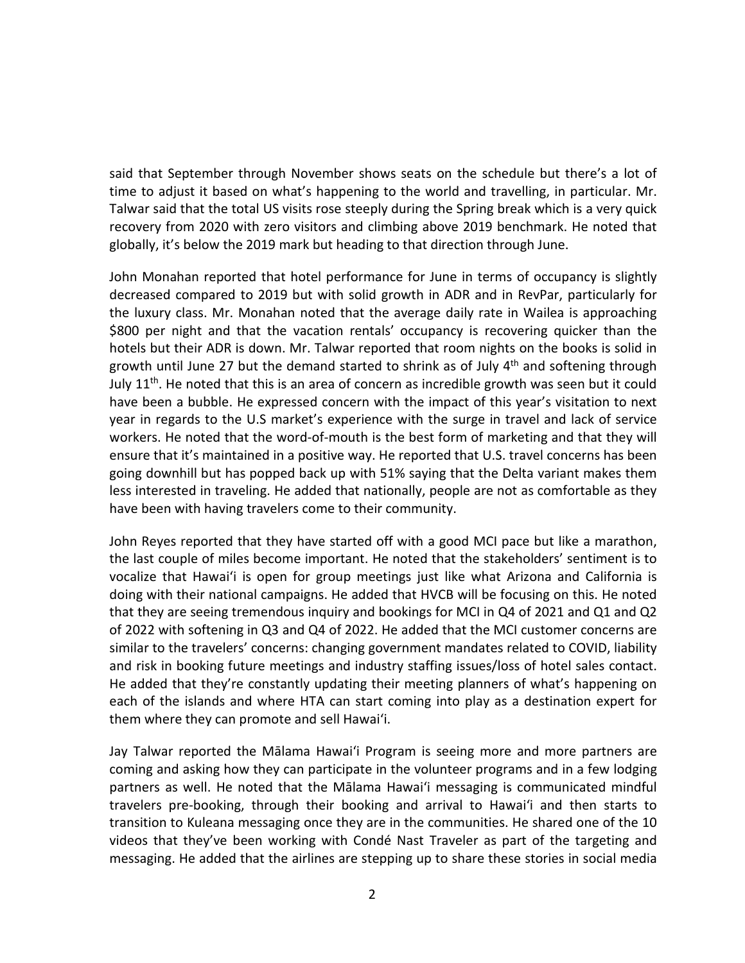said that September through November shows seats on the schedule but there's a lot of time to adjust it based on what's happening to the world and travelling, in particular. Mr. Talwar said that the total US visits rose steeply during the Spring break which is a very quick recovery from 2020 with zero visitors and climbing above 2019 benchmark. He noted that globally, it's below the 2019 mark but heading to that direction through June.

John Monahan reported that hotel performance for June in terms of occupancy is slightly decreased compared to 2019 but with solid growth in ADR and in RevPar, particularly for the luxury class. Mr. Monahan noted that the average daily rate in Wailea is approaching \$800 per night and that the vacation rentals' occupancy is recovering quicker than the hotels but their ADR is down. Mr. Talwar reported that room nights on the books is solid in growth until June 27 but the demand started to shrink as of July 4<sup>th</sup> and softening through July  $11<sup>th</sup>$ . He noted that this is an area of concern as incredible growth was seen but it could have been a bubble. He expressed concern with the impact of this year's visitation to next year in regards to the U.S market's experience with the surge in travel and lack of service workers. He noted that the word-of-mouth is the best form of marketing and that they will ensure that it's maintained in a positive way. He reported that U.S. travel concerns has been going downhill but has popped back up with 51% saying that the Delta variant makes them less interested in traveling. He added that nationally, people are not as comfortable as they have been with having travelers come to their community.

John Reyes reported that they have started off with a good MCI pace but like a marathon, the last couple of miles become important. He noted that the stakeholders' sentiment is to vocalize that Hawaiʻi is open for group meetings just like what Arizona and California is doing with their national campaigns. He added that HVCB will be focusing on this. He noted that they are seeing tremendous inquiry and bookings for MCI in Q4 of 2021 and Q1 and Q2 of 2022 with softening in Q3 and Q4 of 2022. He added that the MCI customer concerns are similar to the travelers' concerns: changing government mandates related to COVID, liability and risk in booking future meetings and industry staffing issues/loss of hotel sales contact. He added that they're constantly updating their meeting planners of what's happening on each of the islands and where HTA can start coming into play as a destination expert for them where they can promote and sell Hawaiʻi.

Jay Talwar reported the Mālama Hawaiʻi Program is seeing more and more partners are coming and asking how they can participate in the volunteer programs and in a few lodging partners as well. He noted that the Mālama Hawaiʻi messaging is communicated mindful travelers pre-booking, through their booking and arrival to Hawaiʻi and then starts to transition to Kuleana messaging once they are in the communities. He shared one of the 10 videos that they've been working with Condé Nast Traveler as part of the targeting and messaging. He added that the airlines are stepping up to share these stories in social media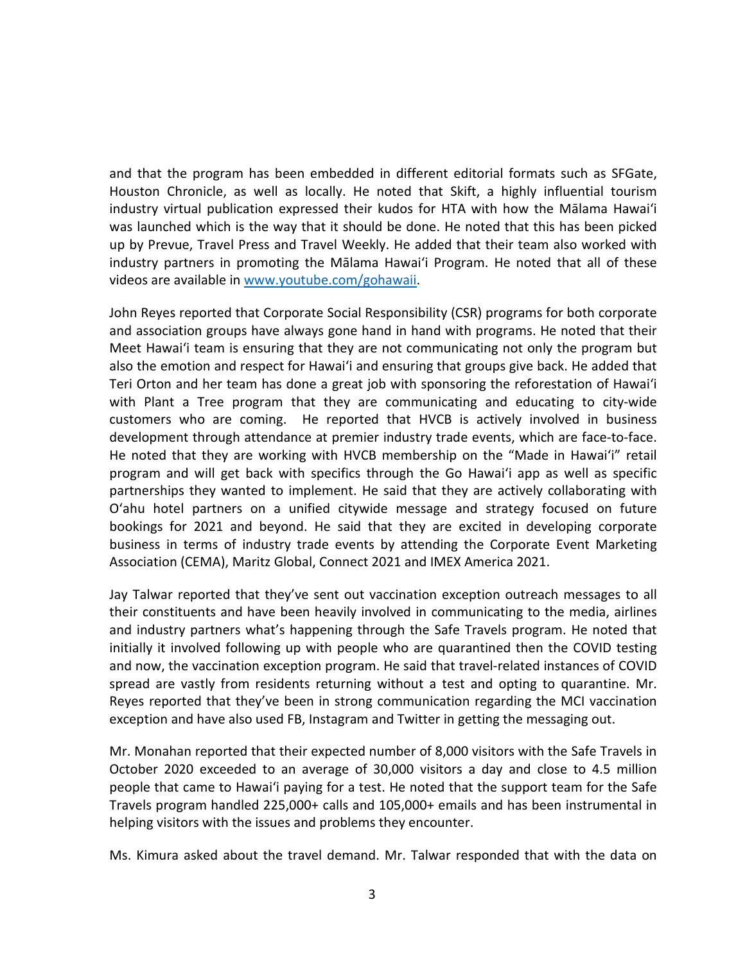and that the program has been embedded in different editorial formats such as SFGate, Houston Chronicle, as well as locally. He noted that Skift, a highly influential tourism industry virtual publication expressed their kudos for HTA with how the Mālama Hawaiʻi was launched which is the way that it should be done. He noted that this has been picked up by Prevue, Travel Press and Travel Weekly. He added that their team also worked with industry partners in promoting the Mālama Hawaiʻi Program. He noted that all of these videos are available in www.youtube.com/gohawaii.

John Reyes reported that Corporate Social Responsibility (CSR) programs for both corporate and association groups have always gone hand in hand with programs. He noted that their Meet Hawaiʻi team is ensuring that they are not communicating not only the program but also the emotion and respect for Hawaiʻi and ensuring that groups give back. He added that Teri Orton and her team has done a great job with sponsoring the reforestation of Hawaiʻi with Plant a Tree program that they are communicating and educating to city-wide customers who are coming. He reported that HVCB is actively involved in business development through attendance at premier industry trade events, which are face-to-face. He noted that they are working with HVCB membership on the "Made in Hawaiʻi" retail program and will get back with specifics through the Go Hawaiʻi app as well as specific partnerships they wanted to implement. He said that they are actively collaborating with Oʻahu hotel partners on a unified citywide message and strategy focused on future bookings for 2021 and beyond. He said that they are excited in developing corporate business in terms of industry trade events by attending the Corporate Event Marketing Association (CEMA), Maritz Global, Connect 2021 and IMEX America 2021.

Jay Talwar reported that they've sent out vaccination exception outreach messages to all their constituents and have been heavily involved in communicating to the media, airlines and industry partners what's happening through the Safe Travels program. He noted that initially it involved following up with people who are quarantined then the COVID testing and now, the vaccination exception program. He said that travel-related instances of COVID spread are vastly from residents returning without a test and opting to quarantine. Mr. Reyes reported that they've been in strong communication regarding the MCI vaccination exception and have also used FB, Instagram and Twitter in getting the messaging out.

Mr. Monahan reported that their expected number of 8,000 visitors with the Safe Travels in October 2020 exceeded to an average of 30,000 visitors a day and close to 4.5 million people that came to Hawaiʻi paying for a test. He noted that the support team for the Safe Travels program handled 225,000+ calls and 105,000+ emails and has been instrumental in helping visitors with the issues and problems they encounter.

Ms. Kimura asked about the travel demand. Mr. Talwar responded that with the data on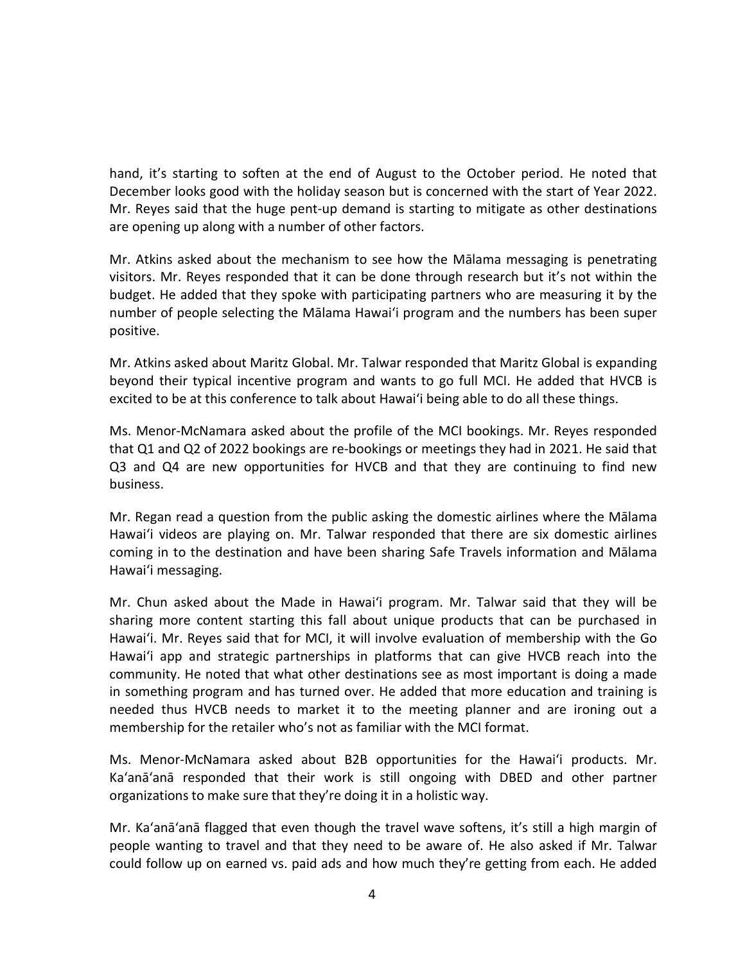hand, it's starting to soften at the end of August to the October period. He noted that December looks good with the holiday season but is concerned with the start of Year 2022. Mr. Reyes said that the huge pent-up demand is starting to mitigate as other destinations are opening up along with a number of other factors.

Mr. Atkins asked about the mechanism to see how the Mālama messaging is penetrating visitors. Mr. Reyes responded that it can be done through research but it's not within the budget. He added that they spoke with participating partners who are measuring it by the number of people selecting the Mālama Hawaiʻi program and the numbers has been super positive.

Mr. Atkins asked about Maritz Global. Mr. Talwar responded that Maritz Global is expanding beyond their typical incentive program and wants to go full MCI. He added that HVCB is excited to be at this conference to talk about Hawaiʻi being able to do all these things.

Ms. Menor-McNamara asked about the profile of the MCI bookings. Mr. Reyes responded that Q1 and Q2 of 2022 bookings are re-bookings or meetings they had in 2021. He said that Q3 and Q4 are new opportunities for HVCB and that they are continuing to find new business.

Mr. Regan read a question from the public asking the domestic airlines where the Mālama Hawaiʻi videos are playing on. Mr. Talwar responded that there are six domestic airlines coming in to the destination and have been sharing Safe Travels information and Mālama Hawaiʻi messaging.

Mr. Chun asked about the Made in Hawaiʻi program. Mr. Talwar said that they will be sharing more content starting this fall about unique products that can be purchased in Hawaiʻi. Mr. Reyes said that for MCI, it will involve evaluation of membership with the Go Hawaiʻi app and strategic partnerships in platforms that can give HVCB reach into the community. He noted that what other destinations see as most important is doing a made in something program and has turned over. He added that more education and training is needed thus HVCB needs to market it to the meeting planner and are ironing out a membership for the retailer who's not as familiar with the MCI format.

Ms. Menor-McNamara asked about B2B opportunities for the Hawaiʻi products. Mr. Ka'anā'anā responded that their work is still ongoing with DBED and other partner organizations to make sure that they're doing it in a holistic way.

Mr. Ka'anā'anā flagged that even though the travel wave softens, it's still a high margin of people wanting to travel and that they need to be aware of. He also asked if Mr. Talwar could follow up on earned vs. paid ads and how much they're getting from each. He added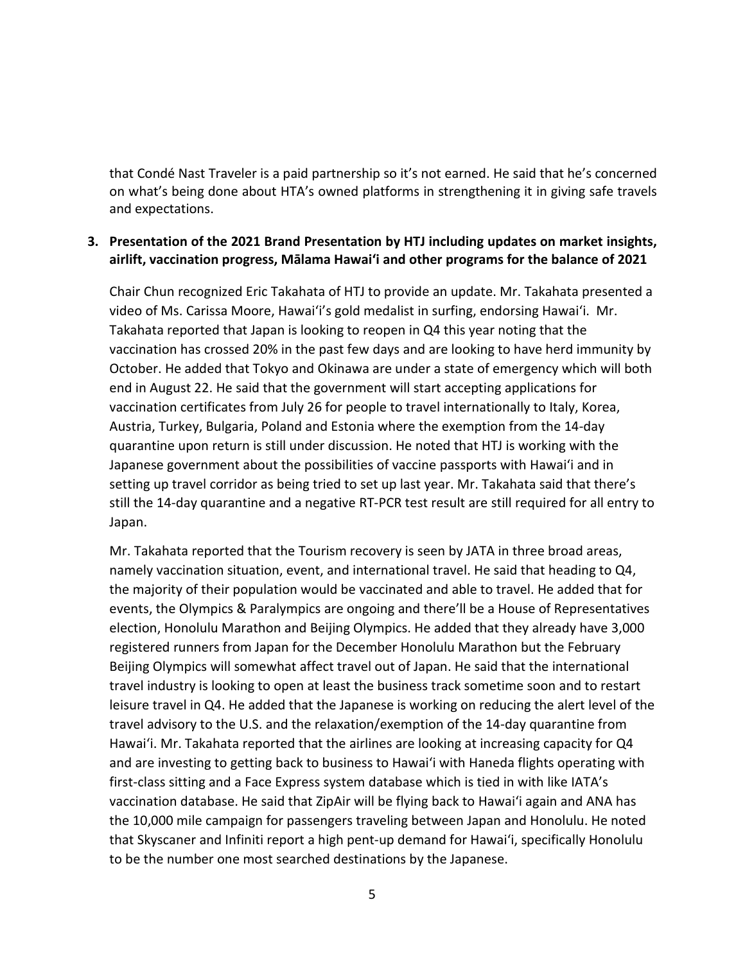that Condé Nast Traveler is a paid partnership so it's not earned. He said that he's concerned on what's being done about HTA's owned platforms in strengthening it in giving safe travels and expectations.

### **3. Presentation of the 2021 Brand Presentation by HTJ including updates on market insights, airlift, vaccination progress, Mālama Hawai'i and other programs for the balance of 2021**

Chair Chun recognized Eric Takahata of HTJ to provide an update. Mr. Takahata presented a video of Ms. Carissa Moore, Hawaiʻi's gold medalist in surfing, endorsing Hawaiʻi. Mr. Takahata reported that Japan is looking to reopen in Q4 this year noting that the vaccination has crossed 20% in the past few days and are looking to have herd immunity by October. He added that Tokyo and Okinawa are under a state of emergency which will both end in August 22. He said that the government will start accepting applications for vaccination certificates from July 26 for people to travel internationally to Italy, Korea, Austria, Turkey, Bulgaria, Poland and Estonia where the exemption from the 14-day quarantine upon return is still under discussion. He noted that HTJ is working with the Japanese government about the possibilities of vaccine passports with Hawaiʻi and in setting up travel corridor as being tried to set up last year. Mr. Takahata said that there's still the 14-day quarantine and a negative RT-PCR test result are still required for all entry to Japan.

Mr. Takahata reported that the Tourism recovery is seen by JATA in three broad areas, namely vaccination situation, event, and international travel. He said that heading to Q4, the majority of their population would be vaccinated and able to travel. He added that for events, the Olympics & Paralympics are ongoing and there'll be a House of Representatives election, Honolulu Marathon and Beijing Olympics. He added that they already have 3,000 registered runners from Japan for the December Honolulu Marathon but the February Beijing Olympics will somewhat affect travel out of Japan. He said that the international travel industry is looking to open at least the business track sometime soon and to restart leisure travel in Q4. He added that the Japanese is working on reducing the alert level of the travel advisory to the U.S. and the relaxation/exemption of the 14-day quarantine from Hawaiʻi. Mr. Takahata reported that the airlines are looking at increasing capacity for Q4 and are investing to getting back to business to Hawaiʻi with Haneda flights operating with first-class sitting and a Face Express system database which is tied in with like IATA's vaccination database. He said that ZipAir will be flying back to Hawaiʻi again and ANA has the 10,000 mile campaign for passengers traveling between Japan and Honolulu. He noted that Skyscaner and Infiniti report a high pent-up demand for Hawaiʻi, specifically Honolulu to be the number one most searched destinations by the Japanese.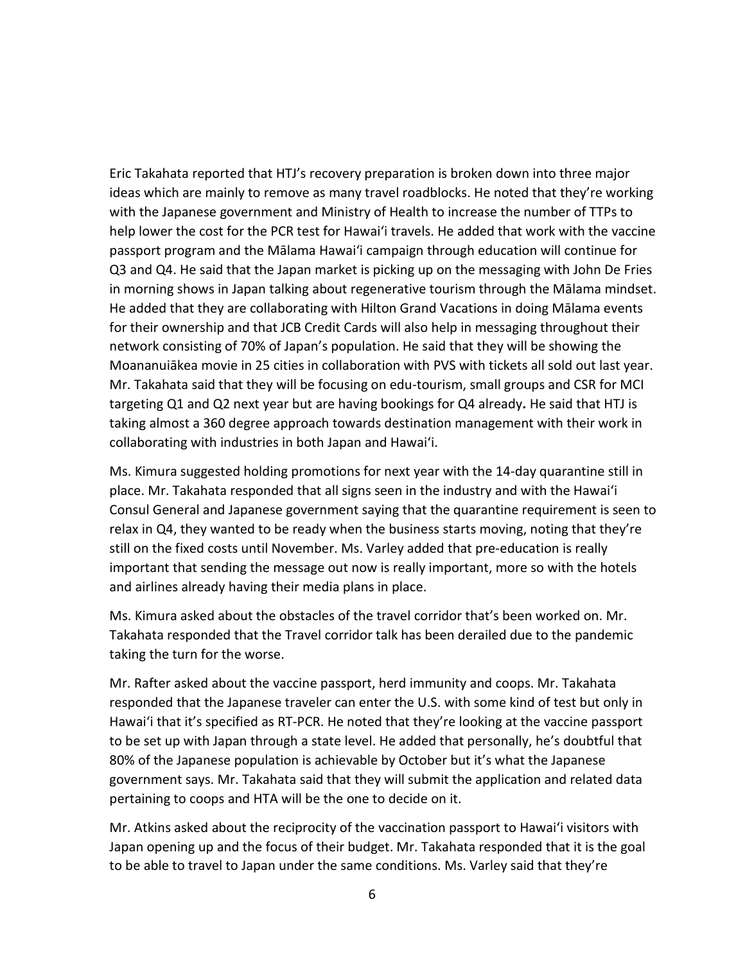Eric Takahata reported that HTJ's recovery preparation is broken down into three major ideas which are mainly to remove as many travel roadblocks. He noted that they're working with the Japanese government and Ministry of Health to increase the number of TTPs to help lower the cost for the PCR test for Hawaiʻi travels. He added that work with the vaccine passport program and the Mālama Hawaiʻi campaign through education will continue for Q3 and Q4. He said that the Japan market is picking up on the messaging with John De Fries in morning shows in Japan talking about regenerative tourism through the Mālama mindset. He added that they are collaborating with Hilton Grand Vacations in doing Mālama events for their ownership and that JCB Credit Cards will also help in messaging throughout their network consisting of 70% of Japan's population. He said that they will be showing the Moananuiākea movie in 25 cities in collaboration with PVS with tickets all sold out last year. Mr. Takahata said that they will be focusing on edu-tourism, small groups and CSR for MCI targeting Q1 and Q2 next year but are having bookings for Q4 already**.** He said that HTJ is taking almost a 360 degree approach towards destination management with their work in collaborating with industries in both Japan and Hawaiʻi.

Ms. Kimura suggested holding promotions for next year with the 14-day quarantine still in place. Mr. Takahata responded that all signs seen in the industry and with the Hawaiʻi Consul General and Japanese government saying that the quarantine requirement is seen to relax in Q4, they wanted to be ready when the business starts moving, noting that they're still on the fixed costs until November. Ms. Varley added that pre-education is really important that sending the message out now is really important, more so with the hotels and airlines already having their media plans in place.

Ms. Kimura asked about the obstacles of the travel corridor that's been worked on. Mr. Takahata responded that the Travel corridor talk has been derailed due to the pandemic taking the turn for the worse.

Mr. Rafter asked about the vaccine passport, herd immunity and coops. Mr. Takahata responded that the Japanese traveler can enter the U.S. with some kind of test but only in Hawaiʻi that it's specified as RT-PCR. He noted that they're looking at the vaccine passport to be set up with Japan through a state level. He added that personally, he's doubtful that 80% of the Japanese population is achievable by October but it's what the Japanese government says. Mr. Takahata said that they will submit the application and related data pertaining to coops and HTA will be the one to decide on it.

Mr. Atkins asked about the reciprocity of the vaccination passport to Hawaiʻi visitors with Japan opening up and the focus of their budget. Mr. Takahata responded that it is the goal to be able to travel to Japan under the same conditions. Ms. Varley said that they're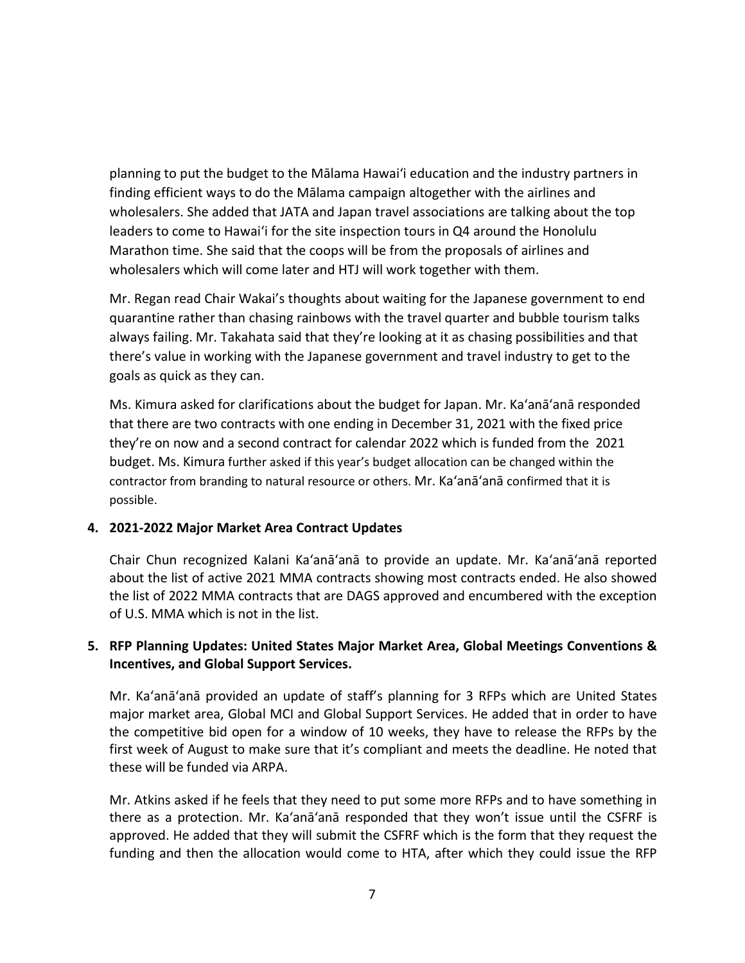planning to put the budget to the Mālama Hawaiʻi education and the industry partners in finding efficient ways to do the Mālama campaign altogether with the airlines and wholesalers. She added that JATA and Japan travel associations are talking about the top leaders to come to Hawaiʻi for the site inspection tours in Q4 around the Honolulu Marathon time. She said that the coops will be from the proposals of airlines and wholesalers which will come later and HTJ will work together with them.

Mr. Regan read Chair Wakai's thoughts about waiting for the Japanese government to end quarantine rather than chasing rainbows with the travel quarter and bubble tourism talks always failing. Mr. Takahata said that they're looking at it as chasing possibilities and that there's value in working with the Japanese government and travel industry to get to the goals as quick as they can.

Ms. Kimura asked for clarifications about the budget for Japan. Mr. Ka'anā'anā responded that there are two contracts with one ending in December 31, 2021 with the fixed price they're on now and a second contract for calendar 2022 which is funded from the 2021 budget. Ms. Kimura further asked if this year's budget allocation can be changed within the contractor from branding to natural resource or others. Mr. Ka'anā'anā confirmed that it is possible.

## **4. 2021-2022 Major Market Area Contract Updates**

Chair Chun recognized Kalani Ka'anā'anā to provide an update. Mr. Ka'anā'anā reported about the list of active 2021 MMA contracts showing most contracts ended. He also showed the list of 2022 MMA contracts that are DAGS approved and encumbered with the exception of U.S. MMA which is not in the list.

## **5. RFP Planning Updates: United States Major Market Area, Global Meetings Conventions & Incentives, and Global Support Services.**

Mr. Ka'anā'anā provided an update of staff's planning for 3 RFPs which are United States major market area, Global MCI and Global Support Services. He added that in order to have the competitive bid open for a window of 10 weeks, they have to release the RFPs by the first week of August to make sure that it's compliant and meets the deadline. He noted that these will be funded via ARPA.

Mr. Atkins asked if he feels that they need to put some more RFPs and to have something in there as a protection. Mr. Ka'anā'anā responded that they won't issue until the CSFRF is approved. He added that they will submit the CSFRF which is the form that they request the funding and then the allocation would come to HTA, after which they could issue the RFP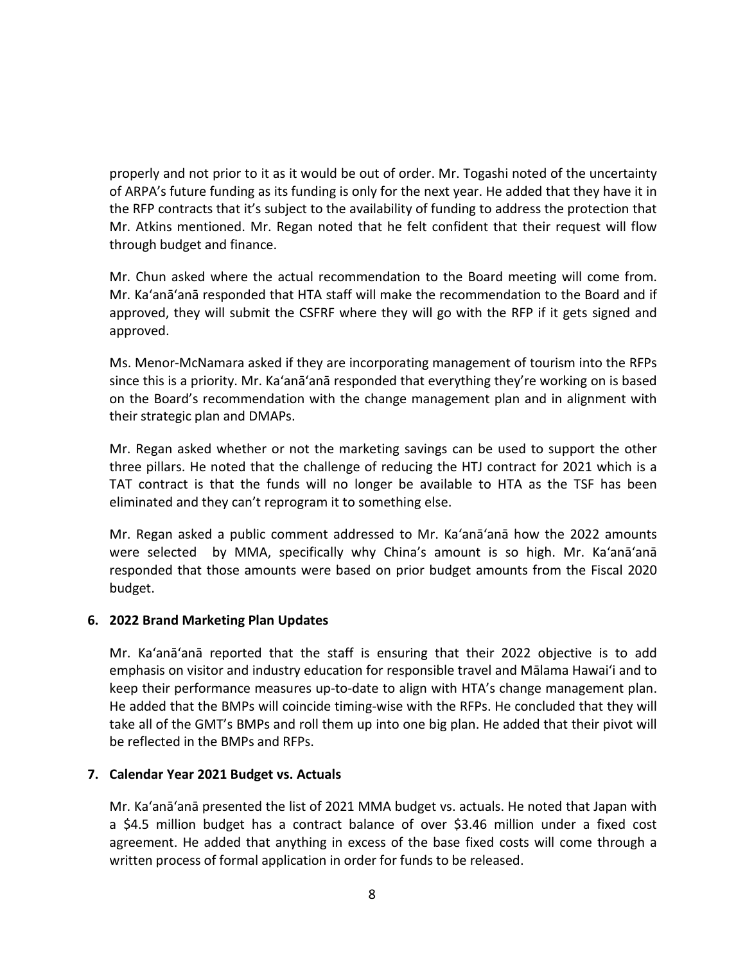properly and not prior to it as it would be out of order. Mr. Togashi noted of the uncertainty of ARPA's future funding as its funding is only for the next year. He added that they have it in the RFP contracts that it's subject to the availability of funding to address the protection that Mr. Atkins mentioned. Mr. Regan noted that he felt confident that their request will flow through budget and finance.

Mr. Chun asked where the actual recommendation to the Board meeting will come from. Mr. Ka'anā'anā responded that HTA staff will make the recommendation to the Board and if approved, they will submit the CSFRF where they will go with the RFP if it gets signed and approved.

Ms. Menor-McNamara asked if they are incorporating management of tourism into the RFPs since this is a priority. Mr. Ka'anā'anā responded that everything they're working on is based on the Board's recommendation with the change management plan and in alignment with their strategic plan and DMAPs.

Mr. Regan asked whether or not the marketing savings can be used to support the other three pillars. He noted that the challenge of reducing the HTJ contract for 2021 which is a TAT contract is that the funds will no longer be available to HTA as the TSF has been eliminated and they can't reprogram it to something else.

Mr. Regan asked a public comment addressed to Mr. Ka'anā'anā how the 2022 amounts were selected by MMA, specifically why China's amount is so high. Mr. Ka'anā'anā responded that those amounts were based on prior budget amounts from the Fiscal 2020 budget.

#### **6. 2022 Brand Marketing Plan Updates**

Mr. Ka'anā'anā reported that the staff is ensuring that their 2022 objective is to add emphasis on visitor and industry education for responsible travel and Mālama Hawaiʻi and to keep their performance measures up-to-date to align with HTA's change management plan. He added that the BMPs will coincide timing-wise with the RFPs. He concluded that they will take all of the GMT's BMPs and roll them up into one big plan. He added that their pivot will be reflected in the BMPs and RFPs.

#### **7. Calendar Year 2021 Budget vs. Actuals**

Mr. Ka'anā'anā presented the list of 2021 MMA budget vs. actuals. He noted that Japan with a \$4.5 million budget has a contract balance of over \$3.46 million under a fixed cost agreement. He added that anything in excess of the base fixed costs will come through a written process of formal application in order for funds to be released.